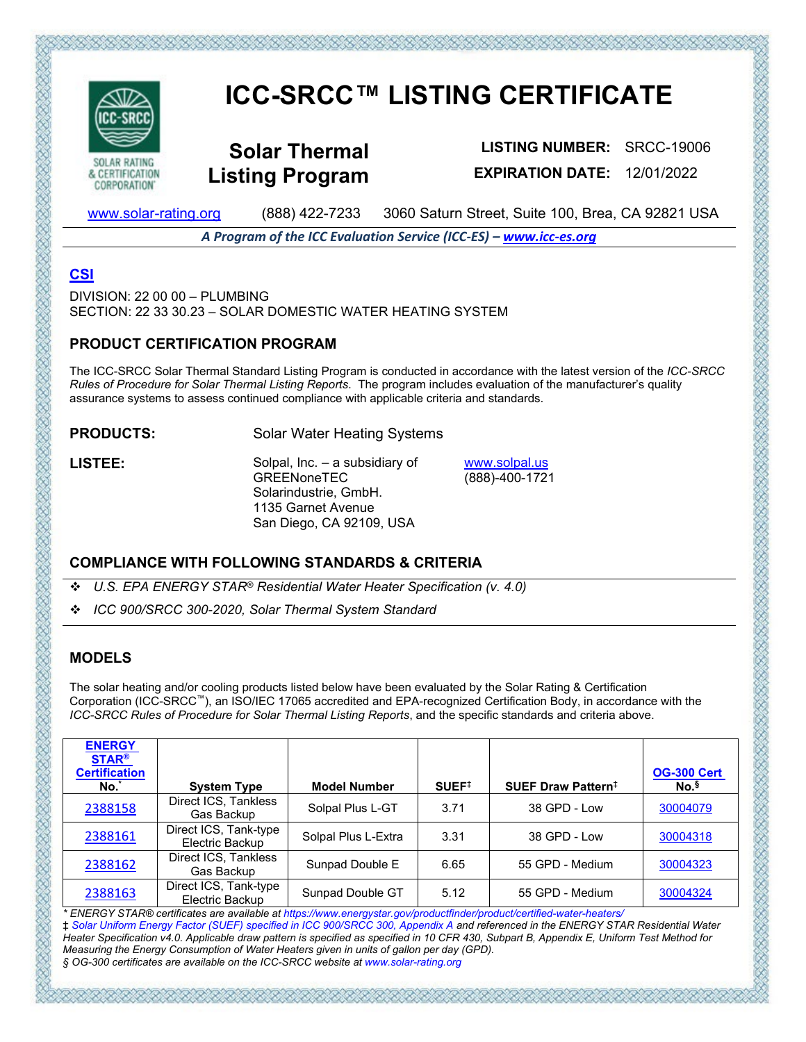

CORPORATION'

# **ICC-SRCC™ LISTING CERTIFICATE**

**Solar Thermal Listing Program**

**LISTING NUMBER:** SRCC-19006 **EXPIRATION DATE:** 12/01/2022

[www.solar-rating.org](http://www.solar-rating.org/) (888) 422-7233 3060 Saturn Street, Suite 100, Brea, CA 92821 USA

*A Program of the ICC Evaluation Service (ICC-ES) – [www.icc-es.org](http://www.icc-es.org/)*

## **[CSI](http://www.masterformat.com/revisions/)**

DIVISION: 22 00 00 – PLUMBING SECTION: 22 33 30.23 – SOLAR DOMESTIC WATER HEATING SYSTEM

#### **PRODUCT CERTIFICATION PROGRAM**

The ICC-SRCC Solar Thermal Standard Listing Program is conducted in accordance with the latest version of the *ICC-SRCC Rules of Procedure for Solar Thermal Listing Reports*. The program includes evaluation of the manufacturer's quality assurance systems to assess continued compliance with applicable criteria and standards.

**PRODUCTS:** Solar Water Heating Systems

**LISTEE:** Solpal, Inc. – a subsidiary of **GREENoneTEC** Solarindustrie, GmbH. 1135 Garnet Avenue San Diego, CA 92109, USA

[www.solpal.us](http://www.solpal.us/) (888)-400-1721

#### **COMPLIANCE WITH FOLLOWING STANDARDS & CRITERIA**

- *U.S. EPA ENERGY STAR® Residential Water Heater Specification (v. 4.0)*
- *ICC 900/SRCC 300-2020, Solar Thermal System Standard*

### **MODELS**

The solar heating and/or cooling products listed below have been evaluated by the Solar Rating & Certification Corporation (ICC-SRCC™), an ISO/IEC 17065 accredited and EPA-recognized Certification Body, in accordance with the *ICC-SRCC Rules of Procedure for Solar Thermal Listing Reports*, and the specific standards and criteria above.

| <b>ENERGY</b><br><b>STAR®</b><br><b>Certification</b><br>No. | <b>System Type</b>                       | <b>Model Number</b> | SUEF <sup>‡</sup> | SUEF Draw Pattern <sup>‡</sup> | <b>OG-300 Cert</b><br>No. <sup>§</sup> |
|--------------------------------------------------------------|------------------------------------------|---------------------|-------------------|--------------------------------|----------------------------------------|
| 2388158                                                      | Direct ICS, Tankless<br>Gas Backup       | Solpal Plus L-GT    | 3.71              | 38 GPD - Low                   | 30004079                               |
| 2388161                                                      | Direct ICS, Tank-type<br>Electric Backup | Solpal Plus L-Extra | 3.31              | 38 GPD - Low                   | 30004318                               |
| 2388162                                                      | Direct ICS, Tankless<br>Gas Backup       | Sunpad Double E     | 6.65              | 55 GPD - Medium                | 30004323                               |
| 2388163                                                      | Direct ICS, Tank-type<br>Electric Backup | Sunpad Double GT    | 5.12              | 55 GPD - Medium                | 30004324                               |

*\* ENERGY STAR® certificates are available at https://www.energystar.gov/productfinder/product/certified-water-heaters/*  ‡ *Solar Uniform Energy Factor (SUEF) specified in ICC 900/SRCC 300, Appendix A and referenced in the ENERGY STAR Residential Water Heater Specification v4.0. Applicable draw pattern is specified as specified in 10 CFR 430, Subpart B, Appendix E, Uniform Test Method for Measuring the Energy Consumption of Water Heaters given in units of gallon per day (GPD). § OG-300 certificates are available on the ICC-SRCC website at www.solar-rating.org*